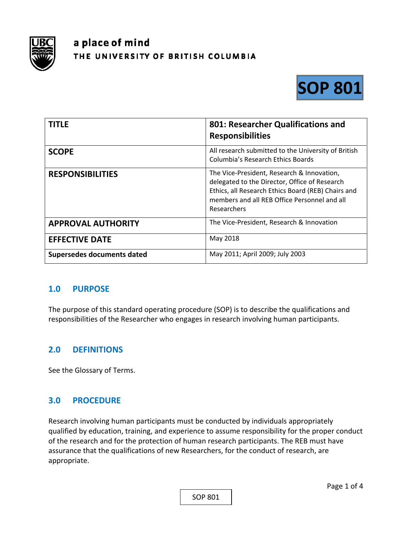

# a place of mind THE UNIVERSITY OF BRITISH COLUMBIA



| <b>TITLE</b>               | 801: Researcher Qualifications and<br><b>Responsibilities</b>                                                                                                                                                    |
|----------------------------|------------------------------------------------------------------------------------------------------------------------------------------------------------------------------------------------------------------|
| <b>SCOPE</b>               | All research submitted to the University of British<br>Columbia's Research Ethics Boards                                                                                                                         |
| <b>RESPONSIBILITIES</b>    | The Vice-President, Research & Innovation,<br>delegated to the Director, Office of Research<br>Ethics, all Research Ethics Board (REB) Chairs and<br>members and all REB Office Personnel and all<br>Researchers |
| <b>APPROVAL AUTHORITY</b>  | The Vice-President, Research & Innovation                                                                                                                                                                        |
| <b>EFFECTIVE DATE</b>      | May 2018                                                                                                                                                                                                         |
| Supersedes documents dated | May 2011; April 2009; July 2003                                                                                                                                                                                  |

### **1.0 PURPOSE**

The purpose of this standard operating procedure (SOP) is to describe the qualifications and responsibilities of the Researcher who engages in research involving human participants.

### **2.0 DEFINITIONS**

See the Glossary of Terms.

### **3.0 PROCEDURE**

Research involving human participants must be conducted by individuals appropriately qualified by education, training, and experience to assume responsibility for the proper conduct of the research and for the protection of human research participants. The REB must have assurance that the qualifications of new Researchers, for the conduct of research, are appropriate.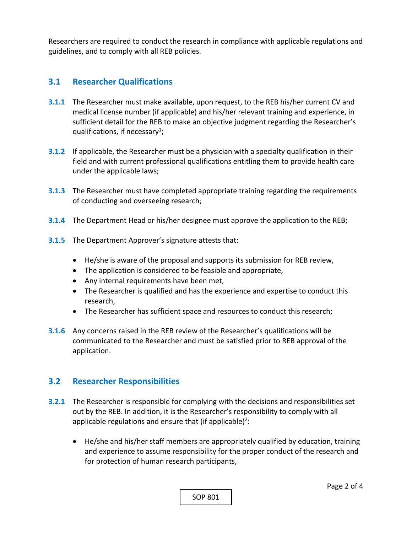Researchers are required to conduct the research in compliance with applicable regulations and guidelines, and to comply with all REB policies.

## **3.1 Researcher Qualifications**

- **3.1.1** The Researcher must make available, upon request, to the REB his/her current CV and medical license number (if applicable) and his/her relevant training and experience, in sufficient detail for the REB to make an objective judgment regarding the Researcher's qualifications, if necessary<sup>1</sup>;
- **3.1.2** If applicable, the Researcher must be a physician with a specialty qualification in their field and with current professional qualifications entitling them to provide health care under the applicable laws;
- **3.1.3**  The Researcher must have completed appropriate training regarding the requirements of conducting and overseeing research;
- **3.1.4**  The Department Head or his/her designee must approve the application to the REB;
- **3.1.5**  The Department Approver's signature attests that:
	- He/she is aware of the proposal and supports its submission for REB review,
	- The application is considered to be feasible and appropriate,
	- Any internal requirements have been met,
	- The Researcher is qualified and has the experience and expertise to conduct this research,
	- The Researcher has sufficient space and resources to conduct this research;
- **3.1.6**  Any concerns raised in the REB review of the Researcher's qualifications will be communicated to the Researcher and must be satisfied prior to REB approval of the application.

### **3.2 Researcher Responsibilities**

- **3.2.1** The Researcher is responsible for complying with the decisions and responsibilities set out by the REB. In addition, it is the Researcher's responsibility to comply with all applicable regulations and ensure that (if applicable)<sup>2</sup>:
	- He/she and his/her staff members are appropriately qualified by education, training and experience to assume responsibility for the proper conduct of the research and for protection of human research participants,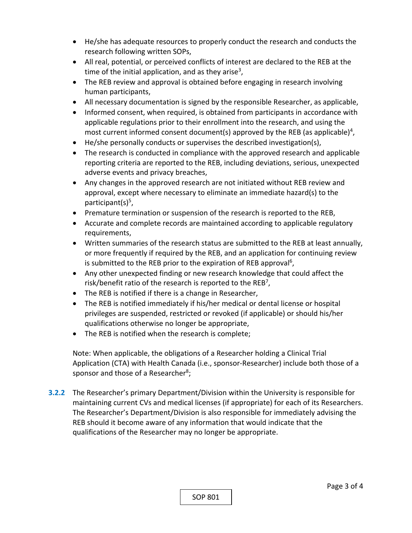- He/she has adequate resources to properly conduct the research and conducts the research following written SOPs,
- All real, potential, or perceived conflicts of interest are declared to the REB at the time of the initial application, and as they arise<sup>3</sup>,
- The REB review and approval is obtained before engaging in research involving human participants,
- All necessary documentation is signed by the responsible Researcher, as applicable,
- Informed consent, when required, is obtained from participants in accordance with applicable regulations prior to their enrollment into the research, and using the most current informed consent document(s) approved by the REB (as applicable)<sup>4</sup>,
- He/she personally conducts or supervises the described investigation(s),
- The research is conducted in compliance with the approved research and applicable reporting criteria are reported to the REB, including deviations, serious, unexpected adverse events and privacy breaches,
- Any changes in the approved research are not initiated without REB review and approval, except where necessary to eliminate an immediate hazard(s) to the participant $(s)^5$ ,
- Premature termination or suspension of the research is reported to the REB,
- Accurate and complete records are maintained according to applicable regulatory requirements,
- Written summaries of the research status are submitted to the REB at least annually, or more frequently if required by the REB, and an application for continuing review is submitted to the REB prior to the expiration of REB approval<sup>6</sup>,
- Any other unexpected finding or new research knowledge that could affect the risk/benefit ratio of the research is reported to the  $REB<sup>7</sup>$ ,
- The REB is notified if there is a change in Researcher,
- The REB is notified immediately if his/her medical or dental license or hospital privileges are suspended, restricted or revoked (if applicable) or should his/her qualifications otherwise no longer be appropriate,
- The REB is notified when the research is complete;

Note: When applicable, the obligations of a Researcher holding a Clinical Trial Application (CTA) with Health Canada (i.e., sponsor‐Researcher) include both those of a sponsor and those of a Researcher<sup>8</sup>;

**3.2.2** The Researcher's primary Department/Division within the University is responsible for maintaining current CVs and medical licenses (if appropriate) for each of its Researchers. The Researcher's Department/Division is also responsible for immediately advising the REB should it become aware of any information that would indicate that the qualifications of the Researcher may no longer be appropriate.